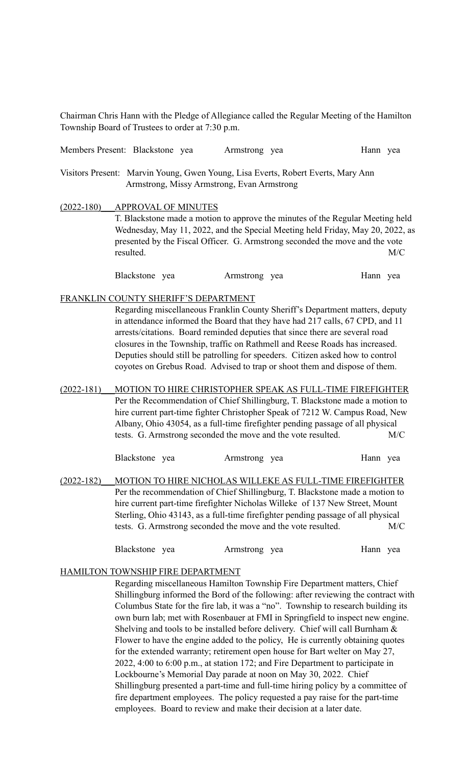Chairman Chris Hann with the Pledge of Allegiance called the Regular Meeting of the Hamilton Township Board of Trustees to order at 7:30 p.m.

| Members Present: Blackstone yea                                                                                                |                                                                                                                                                                                                                                                                                                                                                                                                                                                                                                                                       |  |  | Armstrong yea |                                                                                                                                                                                                                                                                                                              | Hann yea |  |
|--------------------------------------------------------------------------------------------------------------------------------|---------------------------------------------------------------------------------------------------------------------------------------------------------------------------------------------------------------------------------------------------------------------------------------------------------------------------------------------------------------------------------------------------------------------------------------------------------------------------------------------------------------------------------------|--|--|---------------|--------------------------------------------------------------------------------------------------------------------------------------------------------------------------------------------------------------------------------------------------------------------------------------------------------------|----------|--|
| Visitors Present: Marvin Young, Gwen Young, Lisa Everts, Robert Everts, Mary Ann<br>Armstrong, Missy Armstrong, Evan Armstrong |                                                                                                                                                                                                                                                                                                                                                                                                                                                                                                                                       |  |  |               |                                                                                                                                                                                                                                                                                                              |          |  |
| $(2022 - 180)$                                                                                                                 | <b>APPROVAL OF MINUTES</b><br>T. Blackstone made a motion to approve the minutes of the Regular Meeting held<br>Wednesday, May 11, 2022, and the Special Meeting held Friday, May 20, 2022, as<br>presented by the Fiscal Officer. G. Armstrong seconded the move and the vote<br>resulted.<br>M/C                                                                                                                                                                                                                                    |  |  |               |                                                                                                                                                                                                                                                                                                              |          |  |
|                                                                                                                                | Blackstone yea                                                                                                                                                                                                                                                                                                                                                                                                                                                                                                                        |  |  | Armstrong yea |                                                                                                                                                                                                                                                                                                              | Hann yea |  |
|                                                                                                                                | FRANKLIN COUNTY SHERIFF'S DEPARTMENT<br>Regarding miscellaneous Franklin County Sheriff's Department matters, deputy<br>in attendance informed the Board that they have had 217 calls, 67 CPD, and 11<br>arrests/citations. Board reminded deputies that since there are several road<br>closures in the Township, traffic on Rathmell and Reese Roads has increased.<br>Deputies should still be patrolling for speeders. Citizen asked how to control<br>coyotes on Grebus Road. Advised to trap or shoot them and dispose of them. |  |  |               |                                                                                                                                                                                                                                                                                                              |          |  |
| $(2022 - 181)$                                                                                                                 | MOTION TO HIRE CHRISTOPHER SPEAK AS FULL-TIME FIREFIGHTER<br>Per the Recommendation of Chief Shillingburg, T. Blackstone made a motion to<br>hire current part-time fighter Christopher Speak of 7212 W. Campus Road, New<br>Albany, Ohio 43054, as a full-time firefighter pending passage of all physical<br>tests. G. Armstrong seconded the move and the vote resulted.<br>M/C                                                                                                                                                    |  |  |               |                                                                                                                                                                                                                                                                                                              |          |  |
| $(2022 - 182)$                                                                                                                 | Blackstone yea                                                                                                                                                                                                                                                                                                                                                                                                                                                                                                                        |  |  | Armstrong yea | MOTION TO HIRE NICHOLAS WILLEKE AS FULL-TIME FIREFIGHTER<br>Per the recommendation of Chief Shillingburg, T. Blackstone made a motion to<br>hire current part-time firefighter Nicholas Willeke of 137 New Street, Mount<br>Sterling, Ohio 43143, as a full-time firefighter pending passage of all physical | Hann yea |  |

| Blackstone yea | Armstrong yea | Hann yea |
|----------------|---------------|----------|
|----------------|---------------|----------|

tests. G. Armstrong seconded the move and the vote resulted. M/C

#### HAMILTON TOWNSHIP FIRE DEPARTMENT

Regarding miscellaneous Hamilton Township Fire Department matters, Chief Shillingburg informed the Bord of the following: after reviewing the contract with Columbus State for the fire lab, it was a "no". Township to research building its own burn lab; met with Rosenbauer at FMI in Springfield to inspect new engine. Shelving and tools to be installed before delivery. Chief will call Burnham & Flower to have the engine added to the policy, He is currently obtaining quotes for the extended warranty; retirement open house for Bart welter on May 27, 2022, 4:00 to 6:00 p.m., at station 172; and Fire Department to participate in Lockbourne's Memorial Day parade at noon on May 30, 2022. Chief Shillingburg presented a part-time and full-time hiring policy by a committee of fire department employees. The policy requested a pay raise for the part-time employees. Board to review and make their decision at a later date.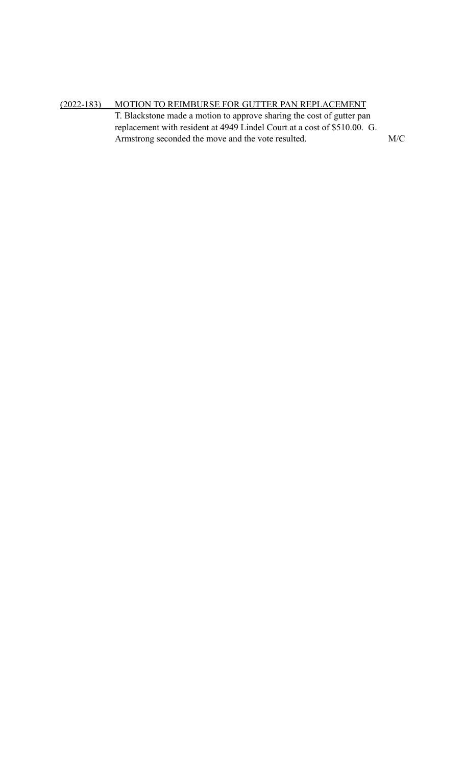(2022-183)\_\_\_MOTION TO REIMBURSE FOR GUTTER PAN REPLACEMENT T. Blackstone made a motion to approve sharing the cost of gutter pan replacement with resident at 4949 Lindel Court at a cost of \$510.00. G. Armstrong seconded the move and the vote resulted. M/C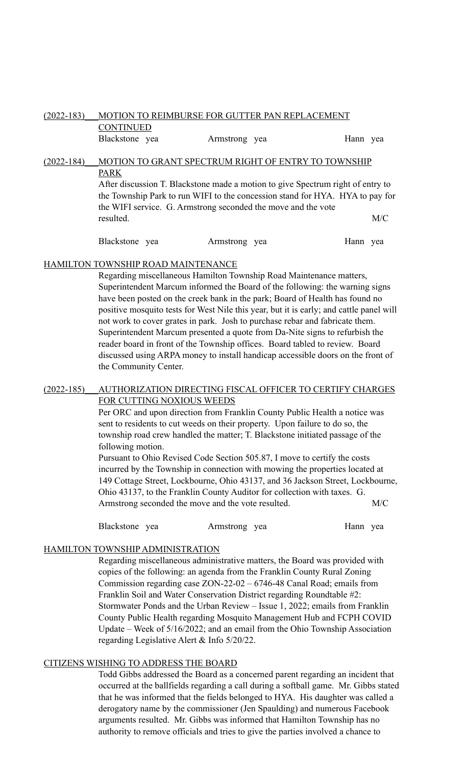## (2022-183)\_\_\_MOTION TO REIMBURSE FOR GUTTER PAN REPLACEMENT

CONTINUED

Blackstone yea Armstrong yea Hann yea

# (2022-184) MOTION TO GRANT SPECTRUM RIGHT OF ENTRY TO TOWNSHIP PARK

After discussion T. Blackstone made a motion to give Spectrum right of entry to the Township Park to run WIFI to the concession stand for HYA. HYA to pay for the WIFI service. G. Armstrong seconded the move and the vote resulted. M/C

Blackstone yea Armstrong yea Hann yea

## HAMILTON TOWNSHIP ROAD MAINTENANCE

Regarding miscellaneous Hamilton Township Road Maintenance matters, Superintendent Marcum informed the Board of the following: the warning signs have been posted on the creek bank in the park; Board of Health has found no positive mosquito tests for West Nile this year, but it is early; and cattle panel will not work to cover grates in park. Josh to purchase rebar and fabricate them. Superintendent Marcum presented a quote from Da-Nite signs to refurbish the reader board in front of the Township offices. Board tabled to review. Board discussed using ARPA money to install handicap accessible doors on the front of the Community Center.

#### (2022-185) AUTHORIZATION DIRECTING FISCAL OFFICER TO CERTIFY CHARGES FOR CUTTING NOXIOUS WEEDS

Per ORC and upon direction from Franklin County Public Health a notice was sent to residents to cut weeds on their property. Upon failure to do so, the township road crew handled the matter; T. Blackstone initiated passage of the following motion.

Pursuant to Ohio Revised Code Section 505.87, I move to certify the costs incurred by the Township in connection with mowing the properties located at 149 Cottage Street, Lockbourne, Ohio 43137, and 36 Jackson Street, Lockbourne, Ohio 43137, to the Franklin County Auditor for collection with taxes. G. Armstrong seconded the move and the vote resulted. M/C

Blackstone yea Armstrong yea Hann yea

## HAMILTON TOWNSHIP ADMINISTRATION

Regarding miscellaneous administrative matters, the Board was provided with copies of the following: an agenda from the Franklin County Rural Zoning Commission regarding case ZON-22-02 – 6746-48 Canal Road; emails from Franklin Soil and Water Conservation District regarding Roundtable #2: Stormwater Ponds and the Urban Review – Issue 1, 2022; emails from Franklin County Public Health regarding Mosquito Management Hub and FCPH COVID Update – Week of 5/16/2022; and an email from the Ohio Township Association regarding Legislative Alert & Info 5/20/22.

## CITIZENS WISHING TO ADDRESS THE BOARD

Todd Gibbs addressed the Board as a concerned parent regarding an incident that occurred at the ballfields regarding a call during a softball game. Mr. Gibbs stated that he was informed that the fields belonged to HYA. His daughter was called a derogatory name by the commissioner (Jen Spaulding) and numerous Facebook arguments resulted. Mr. Gibbs was informed that Hamilton Township has no authority to remove officials and tries to give the parties involved a chance to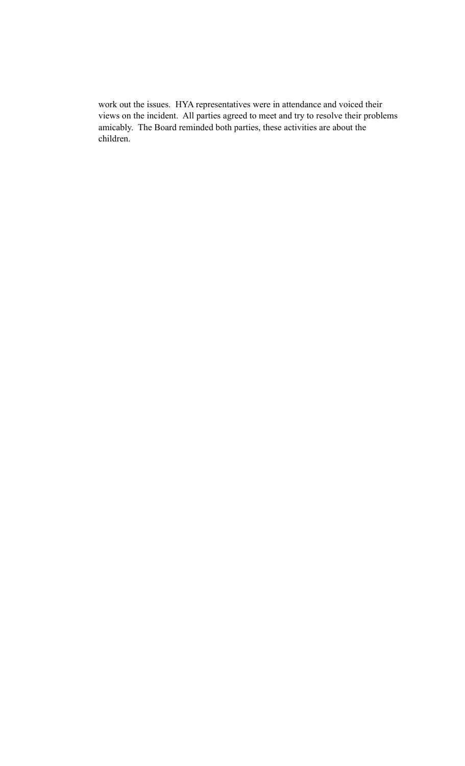work out the issues. HYA representatives were in attendance and voiced their views on the incident. All parties agreed to meet and try to resolve their problems amicably. The Board reminded both parties, these activities are about the children.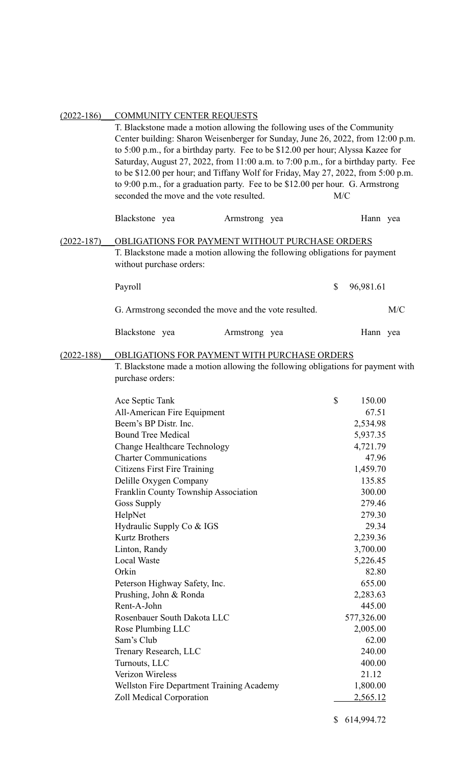| $(2022 - 186)$ | COMMUNITY CENTER REQUESTS<br>T. Blackstone made a motion allowing the following uses of the Community<br>Center building: Sharon Weisenberger for Sunday, June 26, 2022, from 12:00 p.m.<br>to 5:00 p.m., for a birthday party. Fee to be \$12.00 per hour; Alyssa Kazee for<br>Saturday, August 27, 2022, from 11:00 a.m. to 7:00 p.m., for a birthday party. Fee<br>to be \$12.00 per hour; and Tiffany Wolf for Friday, May 27, 2022, from 5:00 p.m.<br>to 9:00 p.m., for a graduation party. Fee to be \$12.00 per hour. G. Armstrong<br>seconded the move and the vote resulted.<br>M/C                                           |               |  |    |                                                                                                                                                                                                                                                                        |     |
|----------------|----------------------------------------------------------------------------------------------------------------------------------------------------------------------------------------------------------------------------------------------------------------------------------------------------------------------------------------------------------------------------------------------------------------------------------------------------------------------------------------------------------------------------------------------------------------------------------------------------------------------------------------|---------------|--|----|------------------------------------------------------------------------------------------------------------------------------------------------------------------------------------------------------------------------------------------------------------------------|-----|
|                | Blackstone yea                                                                                                                                                                                                                                                                                                                                                                                                                                                                                                                                                                                                                         | Armstrong yea |  |    | Hann yea                                                                                                                                                                                                                                                               |     |
| $(2022 - 187)$ | OBLIGATIONS FOR PAYMENT WITHOUT PURCHASE ORDERS<br>T. Blackstone made a motion allowing the following obligations for payment<br>without purchase orders:                                                                                                                                                                                                                                                                                                                                                                                                                                                                              |               |  |    |                                                                                                                                                                                                                                                                        |     |
|                | Payroll                                                                                                                                                                                                                                                                                                                                                                                                                                                                                                                                                                                                                                |               |  | \$ | 96,981.61                                                                                                                                                                                                                                                              |     |
|                | G. Armstrong seconded the move and the vote resulted.                                                                                                                                                                                                                                                                                                                                                                                                                                                                                                                                                                                  |               |  |    |                                                                                                                                                                                                                                                                        | M/C |
|                | Blackstone yea                                                                                                                                                                                                                                                                                                                                                                                                                                                                                                                                                                                                                         | Armstrong yea |  |    | Hann yea                                                                                                                                                                                                                                                               |     |
| $(2022 - 188)$ | OBLIGATIONS FOR PAYMENT WITH PURCHASE ORDERS<br>T. Blackstone made a motion allowing the following obligations for payment with<br>purchase orders:                                                                                                                                                                                                                                                                                                                                                                                                                                                                                    |               |  |    |                                                                                                                                                                                                                                                                        |     |
|                | Ace Septic Tank<br>All-American Fire Equipment<br>Beem's BP Distr. Inc.<br><b>Bound Tree Medical</b><br><b>Change Healthcare Technology</b><br><b>Charter Communications</b><br><b>Citizens First Fire Training</b><br>Delille Oxygen Company<br>Franklin County Township Association<br><b>Goss Supply</b><br>HelpNet<br>Hydraulic Supply Co & IGS<br><b>Kurtz Brothers</b><br>Linton, Randy<br><b>Local Waste</b><br>Orkin<br>Peterson Highway Safety, Inc.<br>Prushing, John & Ronda<br>Rent-A-John<br>Rosenbauer South Dakota LLC<br>Rose Plumbing LLC<br>Sam's Club<br>Trenary Research, LLC<br>Turnouts, LLC<br>Verizon Wireless |               |  | \$ | 150.00<br>67.51<br>2,534.98<br>5,937.35<br>4,721.79<br>47.96<br>1,459.70<br>135.85<br>300.00<br>279.46<br>279.30<br>29.34<br>2,239.36<br>3,700.00<br>5,226.45<br>82.80<br>655.00<br>2,283.63<br>445.00<br>577,326.00<br>2,005.00<br>62.00<br>240.00<br>400.00<br>21.12 |     |
|                | <b>Wellston Fire Department Training Academy</b><br>Zoll Medical Corporation                                                                                                                                                                                                                                                                                                                                                                                                                                                                                                                                                           |               |  |    | 1,800.00<br><u>2,565.12</u>                                                                                                                                                                                                                                            |     |

## (2022-186)\_\_\_COMMUNITY CENTER REQUESTS

\$ 614,994.72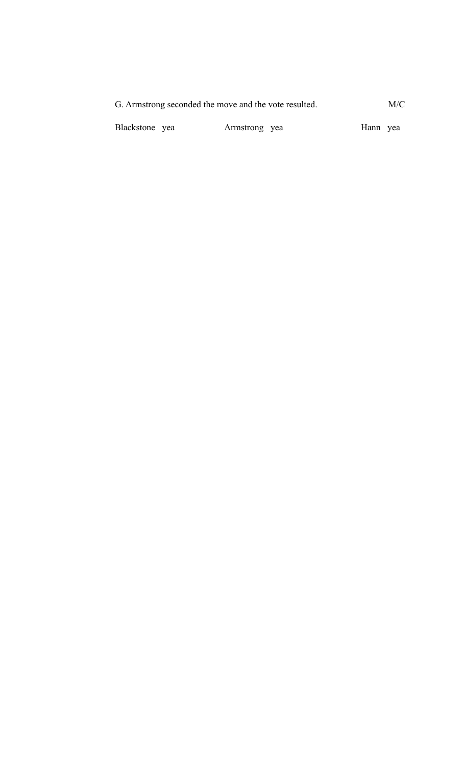G. Armstrong seconded the move and the vote resulted. M/C

Blackstone yea Armstrong yea Hann yea